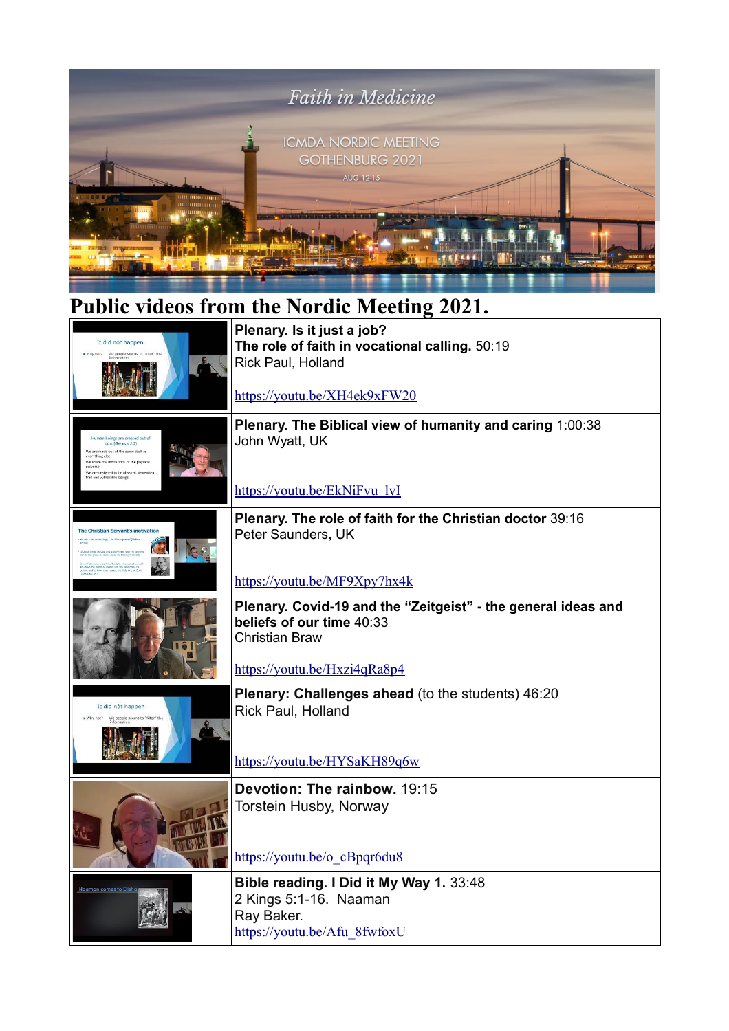

## **Public videos from the Nordic Meeting 2021.**

| It did not happen<br>Why.not?<br>We people seems to "filter" tl                                                                                                                           | Plenary. Is it just a job?<br>The role of faith in vocational calling. 50:19<br>Rick Paul, Holland                                                  |
|-------------------------------------------------------------------------------------------------------------------------------------------------------------------------------------------|-----------------------------------------------------------------------------------------------------------------------------------------------------|
|                                                                                                                                                                                           | https://youtu.be/XH4ek9xFW20                                                                                                                        |
| gs are created out o<br>dust (Genesis 2:7)<br>We are made out of the same stuff as<br>verything else!<br>We share the limitations of the physical<br>We are designed to be physical, depe | Plenary. The Biblical view of humanity and caring 1:00:38<br>John Wyatt, UK                                                                         |
|                                                                                                                                                                                           | https://youtu.be/EkNiFvu lvI                                                                                                                        |
| The Christian Servant's motivation                                                                                                                                                        | Plenary. The role of faith for the Christian doctor 39:16<br>Peter Saunders, UK                                                                     |
|                                                                                                                                                                                           | https://youtu.be/MF9Xpy7hx4k                                                                                                                        |
|                                                                                                                                                                                           | Plenary. Covid-19 and the "Zeitgeist" - the general ideas and<br>beliefs of our time 40:33<br><b>Christian Braw</b><br>https://youtu.be/Hxzi4qRa8p4 |
| It did not happen<br>We people seems to "filter"                                                                                                                                          | Plenary: Challenges ahead (to the students) 46:20<br>Rick Paul, Holland<br>https://youtu.be/HYSaKH89q6w                                             |
|                                                                                                                                                                                           | Devotion: The rainbow, 19:15<br>Torstein Husby, Norway<br>https://youtu.be/o cBpqr6du8                                                              |
|                                                                                                                                                                                           | Bible reading. I Did it My Way 1. 33:48<br>2 Kings 5:1-16. Naaman<br>Ray Baker.<br>https://youtu.be/Afu 8fwfoxU                                     |